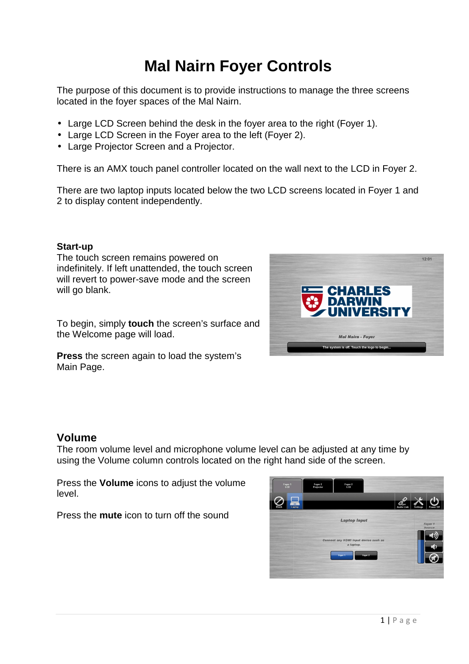# **Mal Nairn Foyer Controls**

The purpose of this document is to provide instructions to manage the three screens located in the foyer spaces of the Mal Nairn.

- Large LCD Screen behind the desk in the foyer area to the right (Foyer 1).
- Large LCD Screen in the Fover area to the left (Fover 2).
- Large Projector Screen and a Projector.

There is an AMX touch panel controller located on the wall next to the LCD in Foyer 2.

There are two laptop inputs located below the two LCD screens located in Foyer 1 and 2 to display content independently.

#### **Start-up**

The touch screen remains powered on indefinitely. If left unattended, the touch screen will revert to power-save mode and the screen will go blank.

To begin, simply **touch** the screen's surface and the Welcome page will load.

**Press** the screen again to load the system's Main Page.



## **Volume**

The room volume level and microphone volume level can be adjusted at any time by using the Volume column controls located on the right hand side of the screen.

Press the **Volume** icons to adjust the volume level.

Press the **mute** icon to turn off the sound

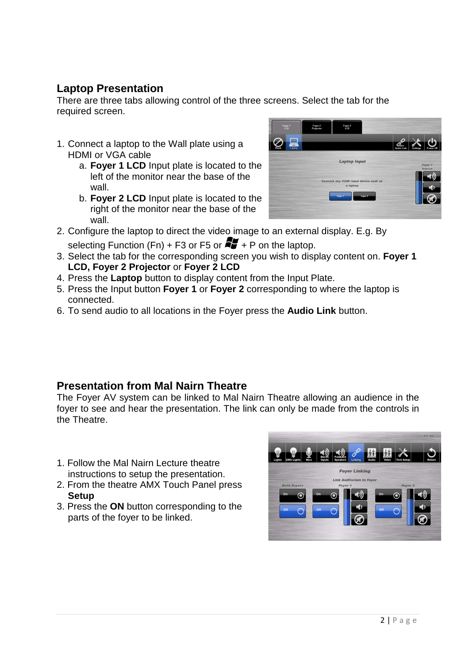# **Laptop Presentation**

There are three tabs allowing control of the three screens. Select the tab for the required screen.

- 1. Connect a laptop to the Wall plate using a HDMI or VGA cable
	- a. **Foyer 1 LCD** Input plate is located to the left of the monitor near the base of the wall.
	- b. **Foyer 2 LCD** Input plate is located to the right of the monitor near the base of the wall.



2. Configure the laptop to direct the video image to an external display. E.g. By

selecting Function (Fn) + F3 or F5 or  $\mathbb{Z}_+$  + P on the laptop.

- 3. Select the tab for the corresponding screen you wish to display content on. **Foyer 1 LCD, Foyer 2 Projector** or **Foyer 2 LCD**
- 4. Press the **Laptop** button to display content from the Input Plate.
- 5. Press the Input button **Foyer 1** or **Foyer 2** corresponding to where the laptop is connected.
- 6. To send audio to all locations in the Foyer press the **Audio Link** button.

## **Presentation from Mal Nairn Theatre**

The Foyer AV system can be linked to Mal Nairn Theatre allowing an audience in the foyer to see and hear the presentation. The link can only be made from the controls in the Theatre.

- 1. Follow the Mal Nairn Lecture theatre instructions to setup the presentation.
- 2. From the theatre AMX Touch Panel press **Setup**
- 3. Press the **ON** button corresponding to the parts of the foyer to be linked.